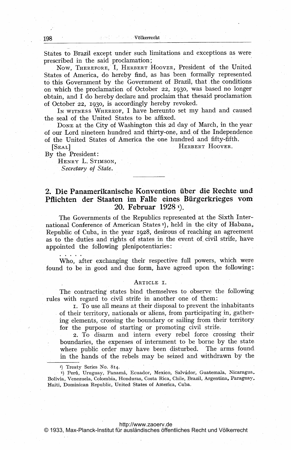States to Brazil except under such limitations and exceptions as were prescribed in the said proclamation;

Now, THEREFORE, I, HERBERT HOOVER, President of the United States of America, do hereby find, as has been formally represented to this Government by the Government of Brazil, that the conditions on which the proclamation of October 22, 1930, was based no longer obtain, and I do hereby declare and proclaim that thesaid proclamation of October 22, 1930, is accordingly hereby revoked.

IN WITNESS WHEREOF, I have hereunto set my hand and caused the seal of the United States to be affixed.

DONE at the City of Washington this 2d day of March, in the year of our Lord nineteen hundred and thirty-one, and of the Independence of the United States of America the one hundred and fifty-fifth.

HERBERT HOOVER.

By the President:

 $[SEAL]$ 

HENRY L. STIMSON. Secretary of State.

# 2. Die Panamerikanische Konvention über die Rechte und .Pflichten der Staaten im Talle eines Bürgerkrieges vom, 20. Februar  $1928$ <sup>r</sup>).

The Governments of the Republics represented at the Sixth International Conference of American States<sup>2</sup>), held in the city of Habana, Republic of Cuba, in the year 1928, desirous of reaching an agreement as to the duties and rights of states in the event of civil strife, have appointed the following plenipotentiaries:

Who, after exchanging their respective full powers, which were found to be in good and due form, have agreed upon the following:

# ARTICLE I.

The contracting states bind themselves to observe the following. rules with regard to civil strife in another one of them:

I. To use all means at their disposal to prevent the inhabitants of their territory, nationals or aliens, from participating in, gathering elements, crossing the boundary or sailing from their territory for the purpose of starting or promoting civil strife.

2. To disarm and intern every rebel force crossing theirboundaries, the expenses of internment to be borne by the state where public order may have been disturbed. The arms foundin the hands of the rebels may be seized and withdrawn by the

I) Treaty Series No. 814-

<sup>2</sup>) Perú, Uruguay, Panamá, Ecuador, Mexico, Salvádor, Guatemala, Nicaragua, Bolivia, Venezuela, Colombia, Honduras, Costa Rica, Chile, Brazil, Argentina, Paraguay, Haiti, Dominican Republic, United States of America, Cuba.

#### <http://www.zaoerv.de>

© 1933, Max-Planck-Institut für ausländisches öffentliches Recht und Völkerrecht